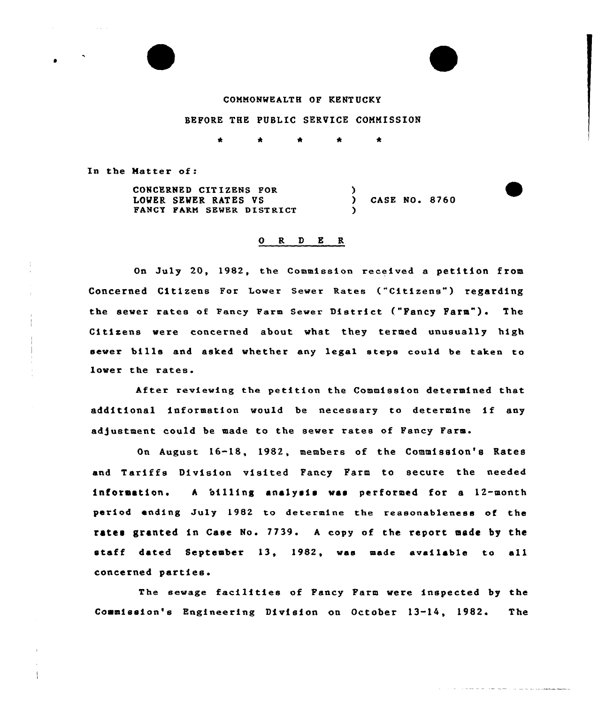# COMMONWEALTH OF KENTUCKY

### BEFORE THE PUBLIC SERVICE CONNISSION

 $\bullet$  $\bullet$  $\ddot{\bullet}$  $\bullet$  $\bullet$ 

In the Natter of:

 $\sim 10^{-1}$ 

CONCERNED CITIZENS FOR LOVER SEVER RATES VS FANCY FARM SEWER DISTRICT  $\lambda$ CASE NO. 8760 )

#### 0 R <sup>D</sup> E <sup>R</sup>

On July 20, 1982, the Commission received a petition from Concerned Citizens For Lower Sewer Rates ("Citizens") regarding the sewer rates of Fancy Farm Sewer District ("Fancy Farm"). The Citizens were concerned about vhat they termed unusually high sewer bills and asked whether any legal steps could be taken to lover the rates.

After reviewing the petition the Commission determined that additional information would be necessary to determine if any adjustment could be made to the sewer rates of Fancy Farm.

On August 16-18, 1982, members of the Commission's Rates and Tariffs Division visited Pancy Farm to secure the needed information. A billing analysis was performed for a 12-month period ending July 1982 to determine the reasonableness of the rates granted in Case No. 7739. <sup>A</sup> copy of the report made by the staff dated September 13, 1982, was made available to all concerned

The sewage facilities of Pancy Parm were inspected by the Commission's Engineering Division on October 13-14, 1982. The

and the contract of the same contract accompanies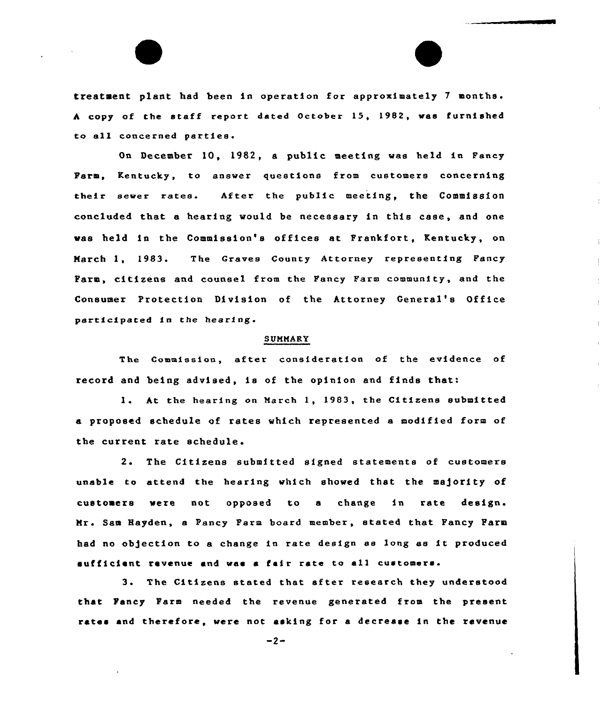treatment plant had been in operation for approximately  $7$  months. <sup>A</sup> copy of the staff report dated October 15, 1982, was furnished to all concerned parties.

December 10, 1982, a public meeting was held in Fancy Fera, Rentucky, to answer questions from customers concerning their sewer rates. After the public meeting, the Commission concluded that e hearing would be necessary in this case, and one wae held in the Commission's offices at Prankfort, Kentucky, on March I, 1983. The Graves County Attorney representing Fancy Pare, citizens and counsel from the Fancy Farm community, end the Consumer Protection Division of the Attorney General's Office participated in the hearing.

# SUMMARY

The Commission, after consideration of the evidence of record and being advised, is of the opinion and finde that:

l. At the hearing on March 1, 1983, the Citizens submitted a proposed schedule of rates which represented a modified form of the current rate schedule.

2. The Citizens submitted signed statements of customers unable to attend the hearing which showed that the majority of customers were not opposed to a change in rate design. Mr. Sam Heyden, a Fancy Farm board member, stated that Pancy Fare had no objection to a change in rate design as long as it produced sufficient revenue and was <sup>a</sup> fair rate to all customers

3. The Citizens stated that after research they understood that Fancy Pare needed the revenue generated from the present rates and therefore, were not asking for a decrease in the revenue

 $-2-$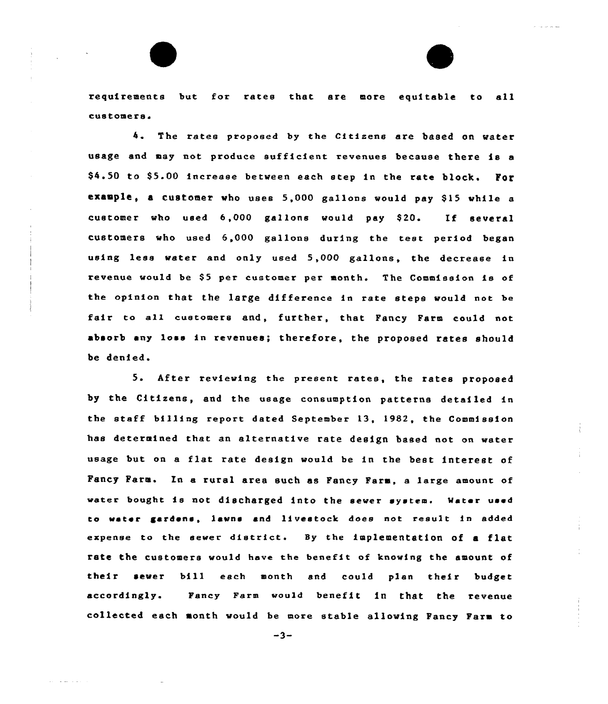

requirements but for rates that are more equitable to all customers <sup>~</sup>

4. The rates proposed by the Citizens are based on water usage and may not produce sufficient revenues because there is <sup>a</sup> \$4.50 to \$5.00 increase between each step in the rate block. For example, a customer who uses  $5,000$  gallons would pay \$15 while a customer who used 6,000 gallons would pay \$20. If several customers who used 6,000 gallons during the test period began using less water and only used 5,000 gallons, the decrease in revenue would be \$5 per customer per month. The Commission is of the opinion that the large difference in rate steps would not be fair to all customers and, further, that Fancy Farm could not absorb any loss in revenues; therefore, the proposed rates should be denied.

5. After reviewing the present rates, the rates proposed by the Citizens, and the usage consumption patterns detailed in the staff billing report dated September 13, 1982, the Commission has determined that an alternative rate design based not on water usage but on a flat rate design would be in the best interest of Fancy Farm. In a rural area such as Fancy Farm, a large amount of water bought is not discharged into the sever system. Water used to water gardens, lawns and livestock does not result in added expense to the eever district. By the implementation of <sup>a</sup> flat rate the customers would have the benefit of knowing the amount of their sewer bill each month and could plan their budget accordingly. Fancy Farm would benefit in that the revenue collected each month would be more stable alloving Fancy Farm to

 $-3-$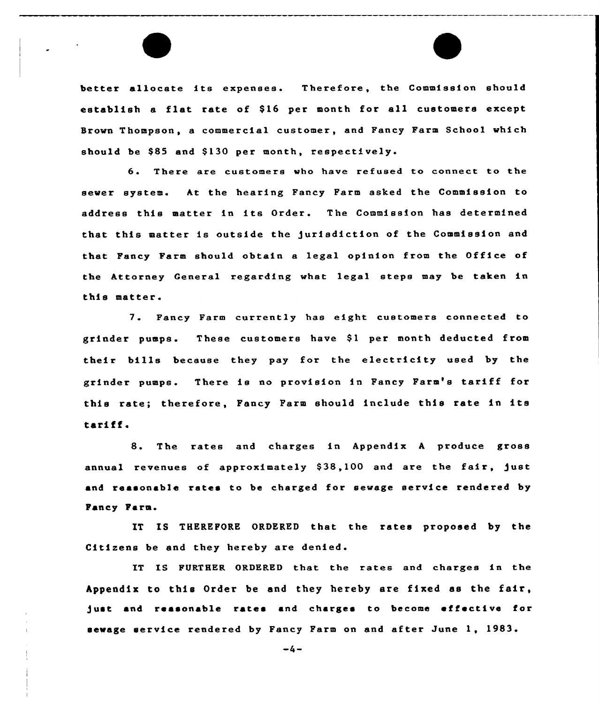better allocate its expenses. Therefore, the Commission should establish a flat rate of \$16 per month for all customers except Brown Thompson, a commercial customer, and Fancy Farm School which should be \$85 and \$130 per month, respectively.

6. There are customers who have refused to connect to the sewer system. At the hearing Fancy Farm asked the Commission to address this matter in its Order. The Commission has determined that this matter is outside the jurisdiction of the Commission and that Fancy Farm should obtain e legal opinion from the Office of the Attorney General regarding what legal steps may be taken in this matter.

7. Fancy Farm currently has eight customers connected to grinder pumps. These customers have \$1 per month deducted from their bills because they pey for the electricity used by the grinder pumps. There is no provision in Fancy Farm's tariff for this rate; therefore, Pancy Farm should include this rate in its tariff.

8. The rates and charges in Appendix <sup>A</sup> produce gross annual revenues of approximately \$38,100 and are the fair, just end reasonable rates to be charged for sewage service rendered by Pency Para.

IT IS THEREFORE ORDERED that the rates proposed by the Citizens be and they hereby are denied.

IT IS FURTHER ORDERED that the rates and charges in the Appendix to this Order be and they hereby are fixed as the fair, just and reasonable rates and charges to become effective for sewage service rendered by Fancy Farm on and after June 1, 1983.

 $-4-$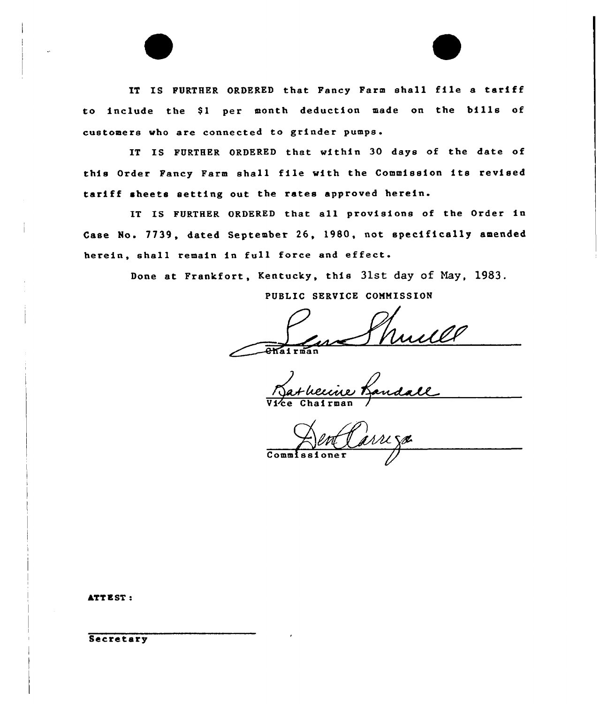IT IS FURTHER ORDERED that Fancy Farm shall file a tariff to include the \$1 per month deduction made on the bills of customers who are connected to grinder pumps

IT IS FURTHER ORDERED that within 30 days of the date of this Order Pancy Farm shall file with the Commission its revised tariff sheets setting out the rates approved herein.

IT IS FURTHER ORDERED that all provisions of the Order in Case Ho. 7739, dated September 26, 1980, not specifically amended herein, shall remain in full force and effect.

Done at Frankfort, Kentucky, this 31st day of May, 1983.

PUBLIC SERVICE COMMISSION

Batherine Bandall

årrega Commissi

ATTEST:

Secretary